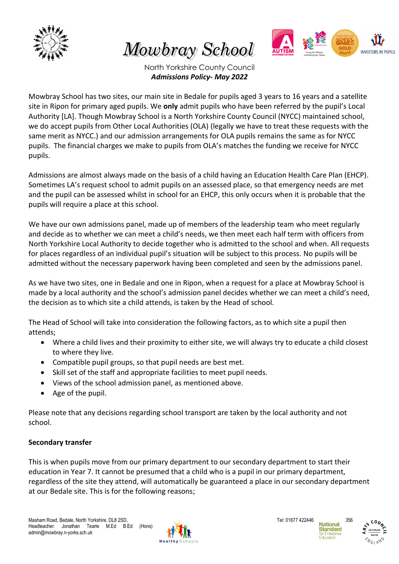

Mowbray School



North Yorkshire County Council *Admissions Policy- May 2022*

Mowbray School has two sites, our main site in Bedale for pupils aged 3 years to 16 years and a satellite site in Ripon for primary aged pupils. We **only** admit pupils who have been referred by the pupil's Local Authority [LA]. Though Mowbray School is a North Yorkshire County Council (NYCC) maintained school, we do accept pupils from Other Local Authorities (OLA) (legally we have to treat these requests with the same merit as NYCC.) and our admission arrangements for OLA pupils remains the same as for NYCC pupils. The financial charges we make to pupils from OLA's matches the funding we receive for NYCC pupils.

Admissions are almost always made on the basis of a child having an Education Health Care Plan (EHCP). Sometimes LA's request school to admit pupils on an assessed place, so that emergency needs are met and the pupil can be assessed whilst in school for an EHCP, this only occurs when it is probable that the pupils will require a place at this school.

We have our own admissions panel, made up of members of the leadership team who meet regularly and decide as to whether we can meet a child's needs, we then meet each half term with officers from North Yorkshire Local Authority to decide together who is admitted to the school and when. All requests for places regardless of an individual pupil's situation will be subject to this process. No pupils will be admitted without the necessary paperwork having been completed and seen by the admissions panel.

As we have two sites, one in Bedale and one in Ripon, when a request for a place at Mowbray School is made by a local authority and the school's admission panel decides whether we can meet a child's need, the decision as to which site a child attends, is taken by the Head of school.

The Head of School will take into consideration the following factors, as to which site a pupil then attends;

- Where a child lives and their proximity to either site, we will always try to educate a child closest to where they live.
- Compatible pupil groups, so that pupil needs are best met.
- Skill set of the staff and appropriate facilities to meet pupil needs.
- Views of the school admission panel, as mentioned above.
- Age of the pupil.

Please note that any decisions regarding school transport are taken by the local authority and not school.

# **Secondary transfer**

This is when pupils move from our primary department to our secondary department to start their education in Year 7. It cannot be presumed that a child who is a pupil in our primary department, regardless of the site they attend, will automatically be guaranteed a place in our secondary department at our Bedale site. This is for the following reasons;





אי היינים<br>יי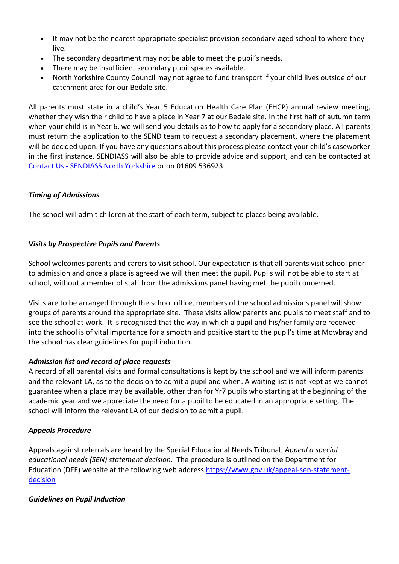- It may not be the nearest appropriate specialist provision secondary-aged school to where they live.
- The secondary department may not be able to meet the pupil's needs.
- There may be insufficient secondary pupil spaces available.
- North Yorkshire County Council may not agree to fund transport if your child lives outside of our catchment area for our Bedale site.

All parents must state in a child's Year 5 Education Health Care Plan (EHCP) annual review meeting, whether they wish their child to have a place in Year 7 at our Bedale site. In the first half of autumn term when your child is in Year 6, we will send you details as to how to apply for a secondary place. All parents must return the application to the SEND team to request a secondary placement, where the placement will be decided upon. If you have any questions about this process please contact your child's caseworker in the first instance. SENDIASS will also be able to provide advice and support, and can be contacted at Contact Us - [SENDIASS North Yorkshire](http://sendiassnorthyorkshire.co.uk/contact-us/) or on 01609 536923

# *Timing of Admissions*

The school will admit children at the start of each term, subject to places being available.

# *Visits by Prospective Pupils and Parents*

School welcomes parents and carers to visit school. Our expectation is that all parents visit school prior to admission and once a place is agreed we will then meet the pupil. Pupils will not be able to start at school, without a member of staff from the admissions panel having met the pupil concerned.

Visits are to be arranged through the school office, members of the school admissions panel will show groups of parents around the appropriate site. These visits allow parents and pupils to meet staff and to see the school at work. It is recognised that the way in which a pupil and his/her family are received into the school is of vital importance for a smooth and positive start to the pupil's time at Mowbray and the school has clear guidelines for pupil induction.

# *Admission list and record of place requests*

A record of all parental visits and formal consultations is kept by the school and we will inform parents and the relevant LA, as to the decision to admit a pupil and when. A waiting list is not kept as we cannot guarantee when a place may be available, other than for Yr7 pupils who starting at the beginning of the academic year and we appreciate the need for a pupil to be educated in an appropriate setting. The school will inform the relevant LA of our decision to admit a pupil.

# *Appeals Procedure*

Appeals against referrals are heard by the Special Educational Needs Tribunal, *Appeal a special educational needs (SEN) statement decision*. The procedure is outlined on the Department for Education (DFE) website at the following web address [https://www.gov.uk/appeal-sen-statement](https://www.gov.uk/appeal-sen-statement-decision)[decision](https://www.gov.uk/appeal-sen-statement-decision)

# *Guidelines on Pupil Induction*